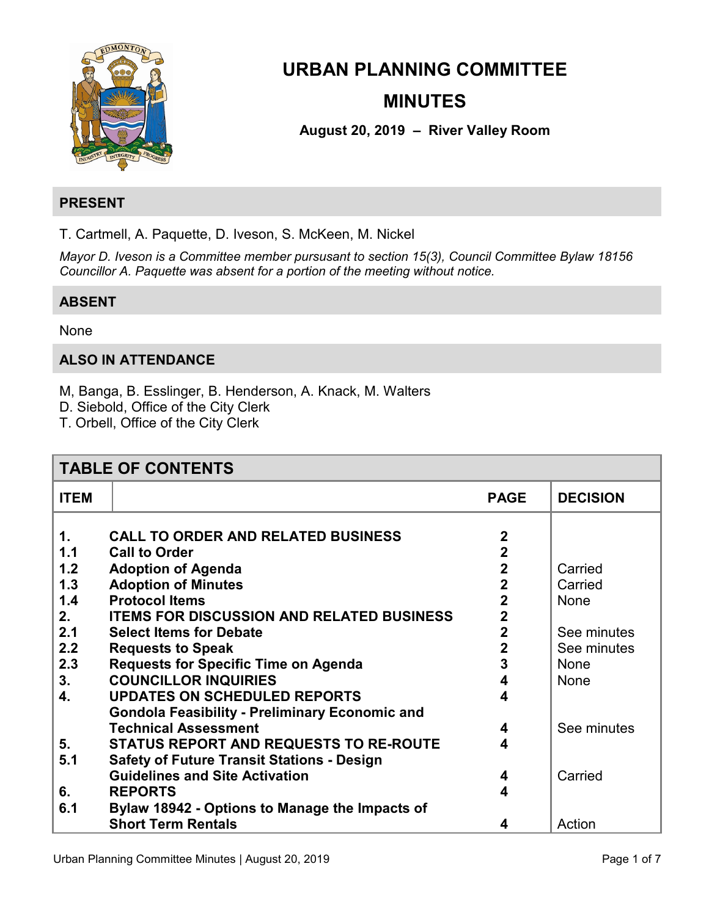

# **URBAN PLANNING COMMITTEE MINUTES**

**August 20, 2019 – River Valley Room** 

# **PRESENT**

T. Cartmell, A. Paquette, D. Iveson, S. McKeen, M. Nickel

*Mayor D. Iveson is a Committee member pursusant to section 15(3), Council Committee Bylaw 18156 Councillor A. Paquette was absent for a portion of the meeting without notice.* 

# **ABSENT**

# None

# **ALSO IN ATTENDANCE**

M, Banga, B. Esslinger, B. Henderson, A. Knack, M. Walters

D. Siebold, Office of the City Clerk

T. Orbell, Office of the City Clerk

| <b>TABLE OF CONTENTS</b> |                                                       |                |                 |  |
|--------------------------|-------------------------------------------------------|----------------|-----------------|--|
| <b>ITEM</b>              |                                                       | <b>PAGE</b>    | <b>DECISION</b> |  |
|                          |                                                       |                |                 |  |
| $\mathbf 1$ .            | <b>CALL TO ORDER AND RELATED BUSINESS</b>             | $\mathbf 2$    |                 |  |
| 1.1                      | <b>Call to Order</b>                                  | $\overline{2}$ |                 |  |
| 1.2                      | <b>Adoption of Agenda</b>                             | $\mathbf 2$    | Carried         |  |
| 1.3                      | <b>Adoption of Minutes</b>                            | $\mathbf{2}$   | Carried         |  |
| 1.4                      | <b>Protocol Items</b>                                 | $\mathbf{2}$   | <b>None</b>     |  |
| 2.                       | <b>ITEMS FOR DISCUSSION AND RELATED BUSINESS</b>      | $\mathbf 2$    |                 |  |
| 2.1                      | <b>Select Items for Debate</b>                        | $\overline{2}$ | See minutes     |  |
| 2.2                      | <b>Requests to Speak</b>                              | $\mathbf 2$    | See minutes     |  |
| 2.3                      | <b>Requests for Specific Time on Agenda</b>           | 3              | None            |  |
| 3.                       | <b>COUNCILLOR INQUIRIES</b>                           |                | None            |  |
| 4.                       | <b>UPDATES ON SCHEDULED REPORTS</b>                   | 4              |                 |  |
|                          | <b>Gondola Feasibility - Preliminary Economic and</b> |                |                 |  |
|                          | <b>Technical Assessment</b>                           | 4              | See minutes     |  |
| 5.                       | <b>STATUS REPORT AND REQUESTS TO RE-ROUTE</b>         | 4              |                 |  |
| 5.1                      | <b>Safety of Future Transit Stations - Design</b>     |                |                 |  |
|                          | <b>Guidelines and Site Activation</b>                 | 4              | Carried         |  |
| 6.                       | <b>REPORTS</b>                                        | 4              |                 |  |
| 6.1                      | Bylaw 18942 - Options to Manage the Impacts of        |                |                 |  |
|                          | <b>Short Term Rentals</b>                             | 4              | Action          |  |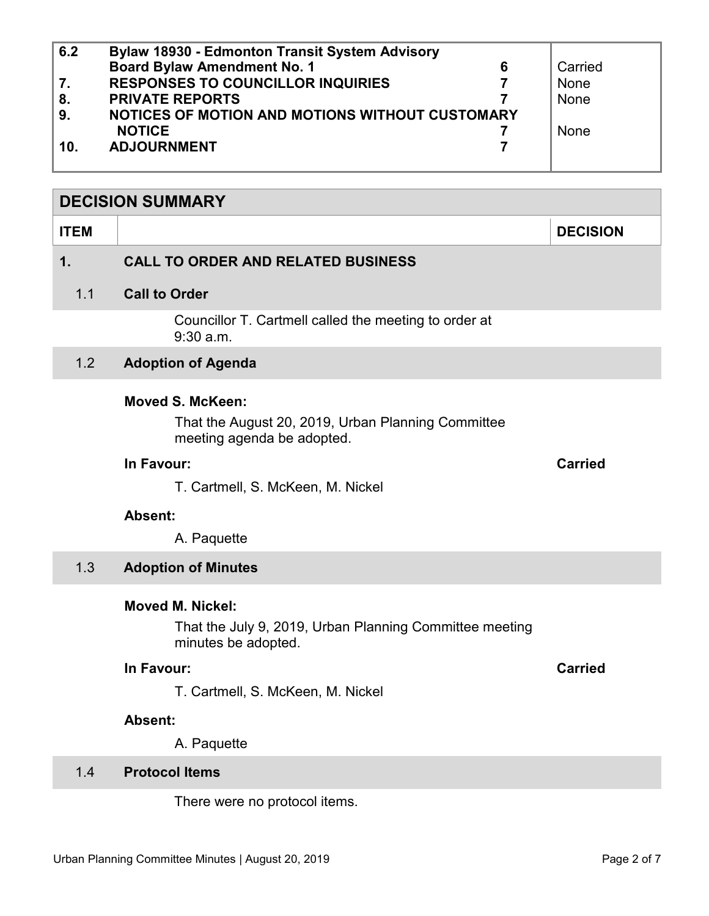<span id="page-1-0"></span>

| 6.2 | <b>Bylaw 18930 - Edmonton Transit System Advisory</b> |         |
|-----|-------------------------------------------------------|---------|
|     | <b>Board Bylaw Amendment No. 1</b>                    | Carried |
| 7.  | <b>RESPONSES TO COUNCILLOR INQUIRIES</b>              | None    |
| 8.  | <b>PRIVATE REPORTS</b>                                | None    |
| 9.  | NOTICES OF MOTION AND MOTIONS WITHOUT CUSTOMARY       |         |
|     | <b>NOTICE</b>                                         | None    |
| 10. | <b>ADJOURNMENT</b>                                    |         |
|     |                                                       |         |

## **DECISION SUMMARY**

#### **ITEM DECISION**

# **1. CALL TO ORDER AND RELATED BUSINESS**

#### 1.1 **Call to Order**

Councillor T. Cartmell called the meeting to order at 9:30 a.m.

# 1.2 **Adoption of Agenda**

# **Moved S. McKeen:**

That the August 20, 2019, Urban Planning Committee meeting agenda be adopted.

#### **In Favour: Carried**

T. Cartmell, S. McKeen, M. Nickel

# **Absent:**

A. Paquette

# 1.3 **Adoption of Minutes**

#### **Moved M. Nickel:**

That the July 9, 2019, Urban Planning Committee meeting minutes be adopted.

# **In Favour: Carried**

T. Cartmell, S. McKeen, M. Nickel

#### **Absent:**

A. Paquette

# 1.4 **Protocol Items**

There were no protocol items.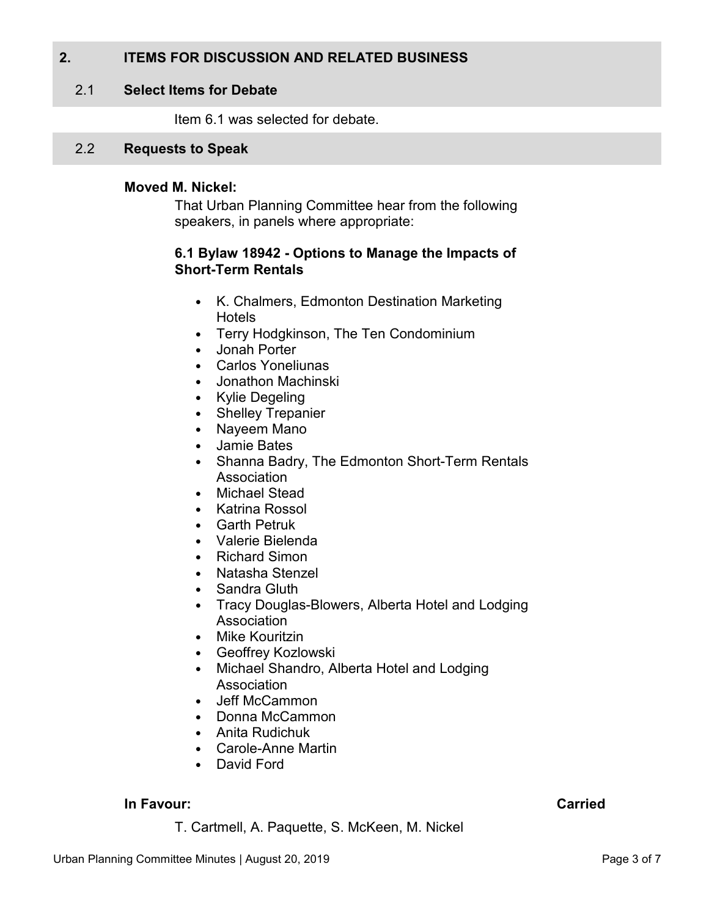# <span id="page-2-0"></span>**2. ITEMS FOR DISCUSSION AND RELATED BUSINESS**

## 2.1 **Select Items for Debate**

Item 6.1 was selected for debate.

# 2.2 **Requests to Speak**

#### **Moved M. Nickel:**

That Urban Planning Committee hear from the following speakers, in panels where appropriate:

#### **6.1 Bylaw 18942 - Options to Manage the Impacts of Short-Term Rentals**

- K. Chalmers, Edmonton Destination Marketing Hotels
- Terry Hodgkinson, The Ten Condominium
- Jonah Porter
- Carlos Yoneliunas
- Jonathon Machinski
- Kylie Degeling
- Shelley Trepanier
- Nayeem Mano
- Jamie Bates
- Shanna Badry, The Edmonton Short-Term Rentals Association
- Michael Stead
- Katrina Rossol
- Garth Petruk
- Valerie Bielenda
- Richard Simon
- Natasha Stenzel
- Sandra Gluth
- Tracy Douglas-Blowers, Alberta Hotel and Lodging Association
- Mike Kouritzin
- Geoffrey Kozlowski
- Michael Shandro, Alberta Hotel and Lodging Association
- Jeff McCammon
- Donna McCammon
- Anita Rudichuk
- Carole-Anne Martin
- David Ford

# **In Favour: Carried**

T. Cartmell, A. Paquette, S. McKeen, M. Nickel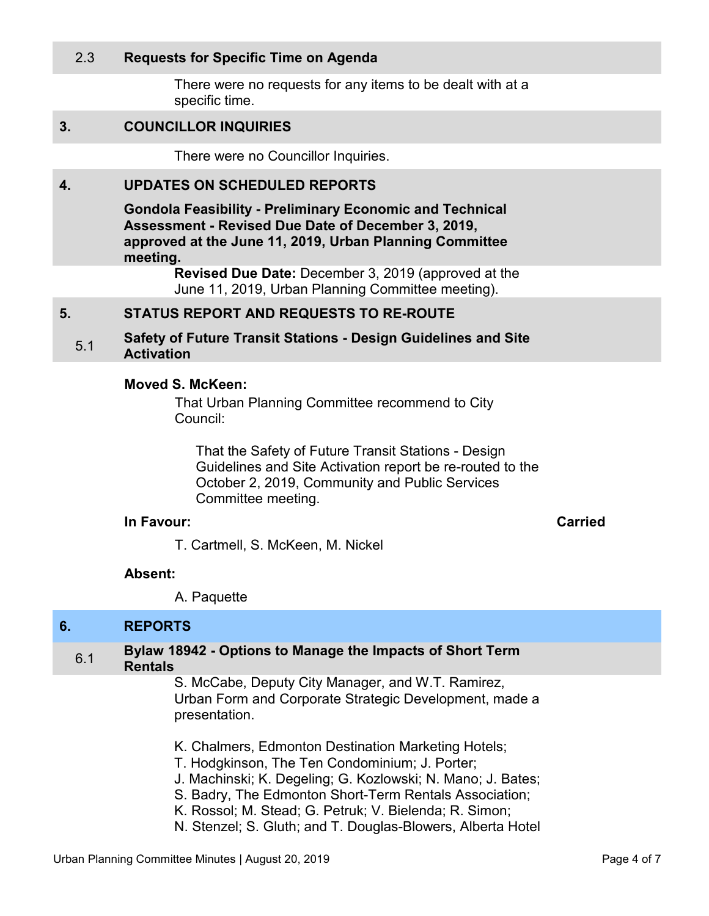# <span id="page-3-0"></span>2.3 **Requests for Specific Time on Agenda**

There were no requests for any items to be dealt with at a specific time.

#### **3. COUNCILLOR INQUIRIES**

There were no Councillor Inquiries.

#### **4. UPDATES ON SCHEDULED REPORTS**

**Gondola Feasibility - Preliminary Economic and Technical Assessment - Revised Due Date of December 3, 2019, approved at the June 11, 2019, Urban Planning Committee meeting.** 

> **Revised Due Date:** December 3, 2019 (approved at the June 11, 2019, Urban Planning Committee meeting).

#### **5. STATUS REPORT AND REQUESTS TO RE-ROUTE**

5.1 **Safety of Future Transit Stations - Design Guidelines and Site Activation** 

#### **Moved S. McKeen:**

That Urban Planning Committee recommend to City Council:

That the Safety of Future Transit Stations - Design Guidelines and Site Activation report be re-routed to the October 2, 2019, Community and Public Services Committee meeting.

# **In Favour: Carried**

T. Cartmell, S. McKeen, M. Nickel

#### **Absent:**

A. Paquette

# **6. REPORTS**

## 6.1 **Bylaw 18942 - Options to Manage the Impacts of Short Term Rentals**

S. McCabe, Deputy City Manager, and W.T. Ramirez, Urban Form and Corporate Strategic Development, made a presentation.

- K. Chalmers, Edmonton Destination Marketing Hotels;
- T. Hodgkinson, The Ten Condominium; J. Porter;
- J. Machinski; K. Degeling; G. Kozlowski; N. Mano; J. Bates;
- S. Badry, The Edmonton Short-Term Rentals Association;
- K. Rossol; M. Stead; G. Petruk; V. Bielenda; R. Simon;
- N. Stenzel; S. Gluth; and T. Douglas-Blowers, Alberta Hotel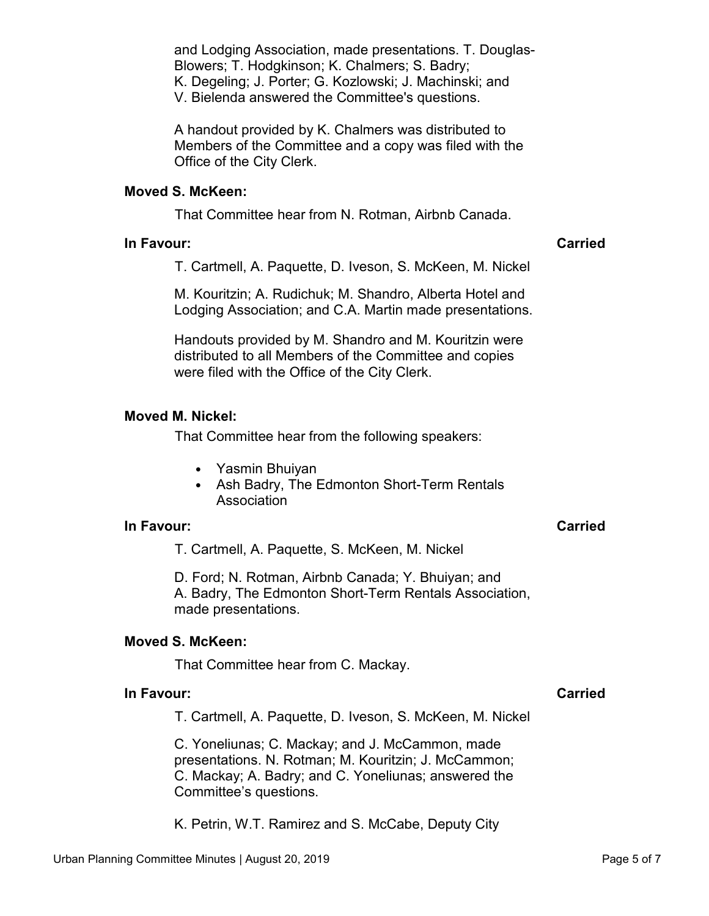and Lodging Association, made presentations. T. Douglas-Blowers; T. Hodgkinson; K. Chalmers; S. Badry; K. Degeling; J. Porter; G. Kozlowski; J. Machinski; and V. Bielenda answered the Committee's questions.

A handout provided by K. Chalmers was distributed to Members of the Committee and a copy was filed with the Office of the City Clerk.

### **Moved S. McKeen:**

That Committee hear from N. Rotman, Airbnb Canada.

#### **In Favour: Carried**

T. Cartmell, A. Paquette, D. Iveson, S. McKeen, M. Nickel

M. Kouritzin; A. Rudichuk; M. Shandro, Alberta Hotel and Lodging Association; and C.A. Martin made presentations.

Handouts provided by M. Shandro and M. Kouritzin were distributed to all Members of the Committee and copies were filed with the Office of the City Clerk.

#### **Moved M. Nickel:**

That Committee hear from the following speakers:

- Yasmin Bhuiyan
- Ash Badry, The Edmonton Short-Term Rentals Association

#### **In Favour: Carried**

T. Cartmell, A. Paquette, S. McKeen, M. Nickel

D. Ford; N. Rotman, Airbnb Canada; Y. Bhuiyan; and A. Badry, The Edmonton Short-Term Rentals Association, made presentations.

# **Moved S. McKeen:**

That Committee hear from C. Mackay.

#### **In Favour:** Carried Carried Carried Carried Carried Carried Carried Carried Carried Carried Carried Carried Carried Carried Carried Carried Carried Carried Carried Carried Carried Carried Carried Carried Carried Carried C

T. Cartmell, A. Paquette, D. Iveson, S. McKeen, M. Nickel

C. Yoneliunas; C. Mackay; and J. McCammon, made presentations. N. Rotman; M. Kouritzin; J. McCammon; C. Mackay; A. Badry; and C. Yoneliunas; answered the Committee's questions.

K. Petrin, W.T. Ramirez and S. McCabe, Deputy City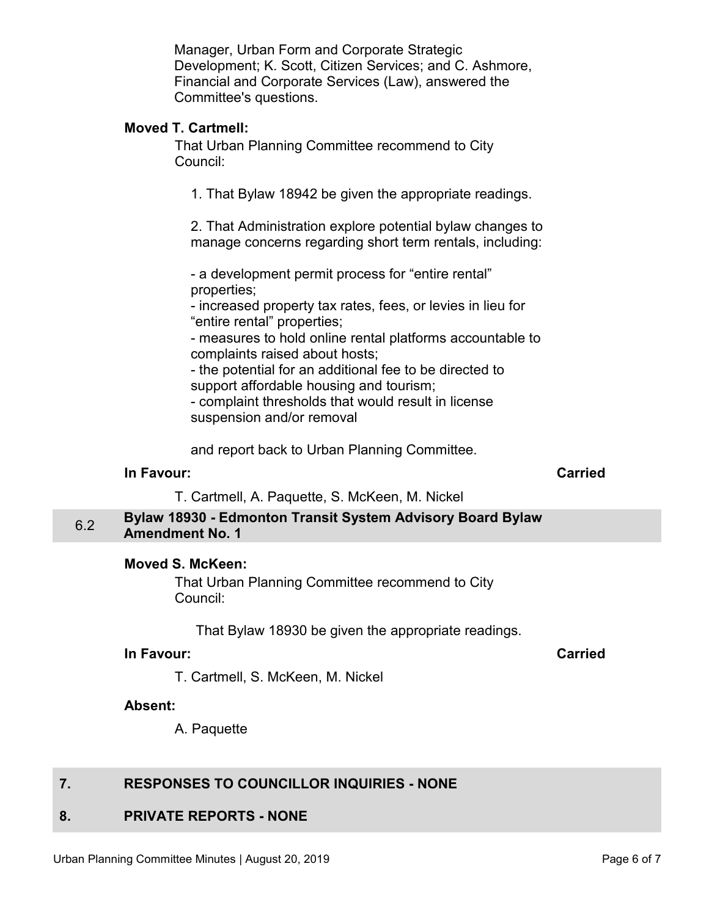Manager, Urban Form and Corporate Strategic Development; K. Scott, Citizen Services; and C. Ashmore, Financial and Corporate Services (Law), answered the Committee's questions.

# <span id="page-5-0"></span>**Moved T. Cartmell:**

That Urban Planning Committee recommend to City Council:

1. That Bylaw 18942 be given the appropriate readings.

2. That Administration explore potential bylaw changes to manage concerns regarding short term rentals, including:

- a development permit process for "entire rental" properties;

- increased property tax rates, fees, or levies in lieu for "entire rental" properties;

- measures to hold online rental platforms accountable to complaints raised about hosts;

- the potential for an additional fee to be directed to support affordable housing and tourism;

- complaint thresholds that would result in license suspension and/or removal

and report back to Urban Planning Committee.

#### **In Favour:** Carried Carried Carried Carried Carried Carried Carried Carried Carried Carried Carried Carried Carried Carried Carried Carried Carried Carried Carried Carried Carried Carried Carried Carried Carried Carried C

T. Cartmell, A. Paquette, S. McKeen, M. Nickel

# 6.2 **Bylaw 18930 - Edmonton Transit System Advisory Board Bylaw Amendment No. 1**

# **Moved S. McKeen:**

That Urban Planning Committee recommend to City Council:

That Bylaw 18930 be given the appropriate readings.

# **In Favour: Carried**

T. Cartmell, S. McKeen, M. Nickel

#### **Absent:**

A. Paquette

# **7. RESPONSES TO COUNCILLOR INQUIRIES - NONE**

# **8. PRIVATE REPORTS - NONE**